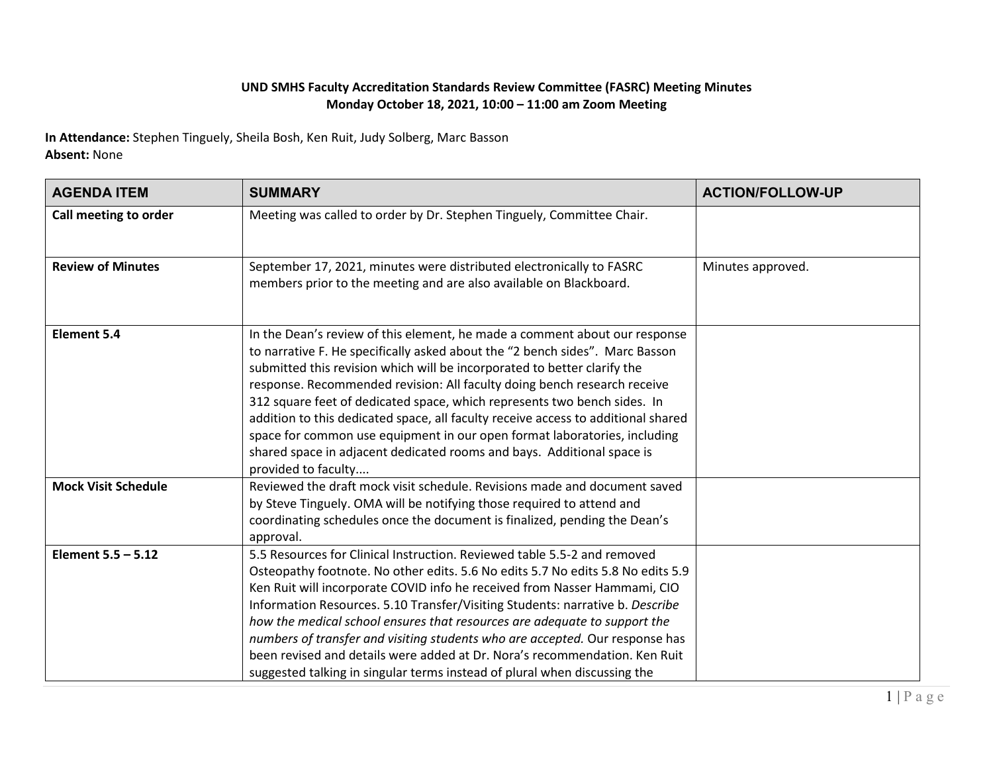## **UND SMHS Faculty Accreditation Standards Review Committee (FASRC) Meeting Minutes Monday October 18, 2021, 10:00 – 11:00 am Zoom Meeting**

**In Attendance:** Stephen Tinguely, Sheila Bosh, Ken Ruit, Judy Solberg, Marc Basson **Absent:** None

| <b>AGENDA ITEM</b>         | <b>SUMMARY</b>                                                                                                                                                                                                                                                                                                                                                                                                                                                                                                                                                                                                                                                    | <b>ACTION/FOLLOW-UP</b> |
|----------------------------|-------------------------------------------------------------------------------------------------------------------------------------------------------------------------------------------------------------------------------------------------------------------------------------------------------------------------------------------------------------------------------------------------------------------------------------------------------------------------------------------------------------------------------------------------------------------------------------------------------------------------------------------------------------------|-------------------------|
| Call meeting to order      | Meeting was called to order by Dr. Stephen Tinguely, Committee Chair.                                                                                                                                                                                                                                                                                                                                                                                                                                                                                                                                                                                             |                         |
| <b>Review of Minutes</b>   | September 17, 2021, minutes were distributed electronically to FASRC<br>members prior to the meeting and are also available on Blackboard.                                                                                                                                                                                                                                                                                                                                                                                                                                                                                                                        | Minutes approved.       |
| <b>Element 5.4</b>         | In the Dean's review of this element, he made a comment about our response<br>to narrative F. He specifically asked about the "2 bench sides". Marc Basson<br>submitted this revision which will be incorporated to better clarify the<br>response. Recommended revision: All faculty doing bench research receive<br>312 square feet of dedicated space, which represents two bench sides. In<br>addition to this dedicated space, all faculty receive access to additional shared<br>space for common use equipment in our open format laboratories, including<br>shared space in adjacent dedicated rooms and bays. Additional space is<br>provided to faculty |                         |
| <b>Mock Visit Schedule</b> | Reviewed the draft mock visit schedule. Revisions made and document saved<br>by Steve Tinguely. OMA will be notifying those required to attend and<br>coordinating schedules once the document is finalized, pending the Dean's<br>approval.                                                                                                                                                                                                                                                                                                                                                                                                                      |                         |
| Element $5.5 - 5.12$       | 5.5 Resources for Clinical Instruction. Reviewed table 5.5-2 and removed<br>Osteopathy footnote. No other edits. 5.6 No edits 5.7 No edits 5.8 No edits 5.9<br>Ken Ruit will incorporate COVID info he received from Nasser Hammami, CIO<br>Information Resources. 5.10 Transfer/Visiting Students: narrative b. Describe<br>how the medical school ensures that resources are adequate to support the<br>numbers of transfer and visiting students who are accepted. Our response has<br>been revised and details were added at Dr. Nora's recommendation. Ken Ruit<br>suggested talking in singular terms instead of plural when discussing the                 |                         |